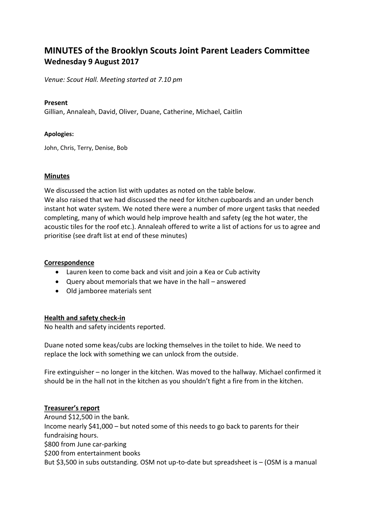# **MINUTES of the Brooklyn Scouts Joint Parent Leaders Committee Wednesday 9 August 2017**

*Venue: Scout Hall. Meeting started at 7.10 pm*

# **Present**

Gillian, Annaleah, David, Oliver, Duane, Catherine, Michael, Caitlin

# **Apologies:**

John, Chris, Terry, Denise, Bob

# **Minutes**

We discussed the action list with updates as noted on the table below.

We also raised that we had discussed the need for kitchen cupboards and an under bench instant hot water system. We noted there were a number of more urgent tasks that needed completing, many of which would help improve health and safety (eg the hot water, the acoustic tiles for the roof etc.). Annaleah offered to write a list of actions for us to agree and prioritise (see draft list at end of these minutes)

# **Correspondence**

- Lauren keen to come back and visit and join a Kea or Cub activity
- Query about memorials that we have in the hall answered
- Old jamboree materials sent

# **Health and safety check-in**

No health and safety incidents reported.

Duane noted some keas/cubs are locking themselves in the toilet to hide. We need to replace the lock with something we can unlock from the outside.

Fire extinguisher – no longer in the kitchen. Was moved to the hallway. Michael confirmed it should be in the hall not in the kitchen as you shouldn't fight a fire from in the kitchen.

# **Treasurer's report**

Around \$12,500 in the bank. Income nearly \$41,000 – but noted some of this needs to go back to parents for their fundraising hours. \$800 from June car-parking \$200 from entertainment books But \$3,500 in subs outstanding. OSM not up-to-date but spreadsheet is – (OSM is a manual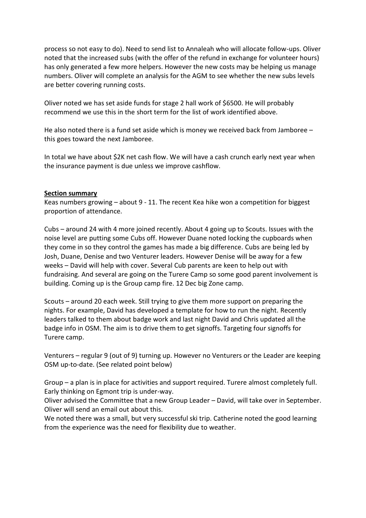process so not easy to do). Need to send list to Annaleah who will allocate follow-ups. Oliver noted that the increased subs (with the offer of the refund in exchange for volunteer hours) has only generated a few more helpers. However the new costs may be helping us manage numbers. Oliver will complete an analysis for the AGM to see whether the new subs levels are better covering running costs.

Oliver noted we has set aside funds for stage 2 hall work of \$6500. He will probably recommend we use this in the short term for the list of work identified above.

He also noted there is a fund set aside which is money we received back from Jamboree – this goes toward the next Jamboree.

In total we have about \$2K net cash flow. We will have a cash crunch early next year when the insurance payment is due unless we improve cashflow.

# **Section summary**

Keas numbers growing – about 9 - 11. The recent Kea hike won a competition for biggest proportion of attendance.

Cubs – around 24 with 4 more joined recently. About 4 going up to Scouts. Issues with the noise level are putting some Cubs off. However Duane noted locking the cupboards when they come in so they control the games has made a big difference. Cubs are being led by Josh, Duane, Denise and two Venturer leaders. However Denise will be away for a few weeks – David will help with cover. Several Cub parents are keen to help out with fundraising. And several are going on the Turere Camp so some good parent involvement is building. Coming up is the Group camp fire. 12 Dec big Zone camp.

Scouts – around 20 each week. Still trying to give them more support on preparing the nights. For example, David has developed a template for how to run the night. Recently leaders talked to them about badge work and last night David and Chris updated all the badge info in OSM. The aim is to drive them to get signoffs. Targeting four signoffs for Turere camp.

Venturers – regular 9 (out of 9) turning up. However no Venturers or the Leader are keeping OSM up-to-date. (See related point below)

Group – a plan is in place for activities and support required. Turere almost completely full. Early thinking on Egmont trip is under-way.

Oliver advised the Committee that a new Group Leader – David, will take over in September. Oliver will send an email out about this.

We noted there was a small, but very successful ski trip. Catherine noted the good learning from the experience was the need for flexibility due to weather.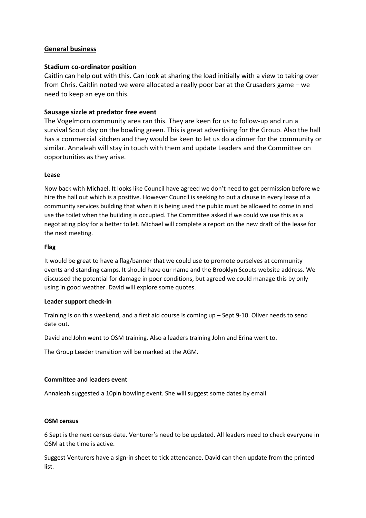# **General business**

### **Stadium co-ordinator position**

Caitlin can help out with this. Can look at sharing the load initially with a view to taking over from Chris. Caitlin noted we were allocated a really poor bar at the Crusaders game – we need to keep an eye on this.

# **Sausage sizzle at predator free event**

The Vogelmorn community area ran this. They are keen for us to follow-up and run a survival Scout day on the bowling green. This is great advertising for the Group. Also the hall has a commercial kitchen and they would be keen to let us do a dinner for the community or similar. Annaleah will stay in touch with them and update Leaders and the Committee on opportunities as they arise.

#### **Lease**

Now back with Michael. It looks like Council have agreed we don't need to get permission before we hire the hall out which is a positive. However Council is seeking to put a clause in every lease of a community services building that when it is being used the public must be allowed to come in and use the toilet when the building is occupied. The Committee asked if we could we use this as a negotiating ploy for a better toilet. Michael will complete a report on the new draft of the lease for the next meeting.

#### **Flag**

It would be great to have a flag/banner that we could use to promote ourselves at community events and standing camps. It should have our name and the Brooklyn Scouts website address. We discussed the potential for damage in poor conditions, but agreed we could manage this by only using in good weather. David will explore some quotes.

#### **Leader support check-in**

Training is on this weekend, and a first aid course is coming up – Sept 9-10. Oliver needs to send date out.

David and John went to OSM training. Also a leaders training John and Erina went to.

The Group Leader transition will be marked at the AGM.

#### **Committee and leaders event**

Annaleah suggested a 10pin bowling event. She will suggest some dates by email.

#### **OSM census**

6 Sept is the next census date. Venturer's need to be updated. All leaders need to check everyone in OSM at the time is active.

Suggest Venturers have a sign-in sheet to tick attendance. David can then update from the printed list.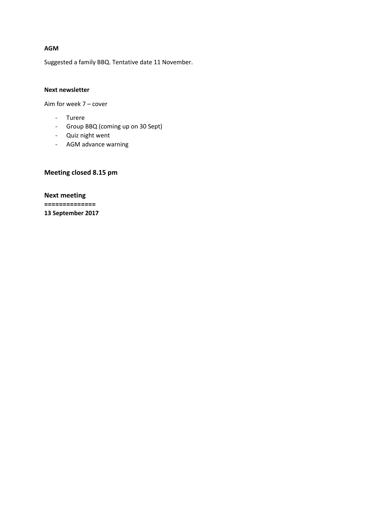#### **AGM**

Suggested a family BBQ. Tentative date 11 November.

#### **Next newsletter**

Aim for week 7 – cover

- Turere
- Group BBQ (coming up on 30 Sept)
- Quiz night went
- AGM advance warning

# **Meeting closed 8.15 pm**

**Next meeting ============== 13 September 2017**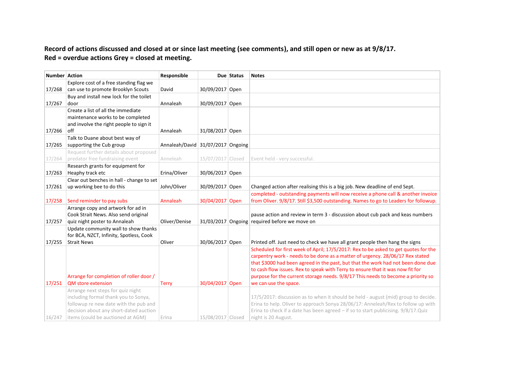# **Record of actions discussed and closed at or since last meeting (see comments), and still open or new as at 9/8/17. Red = overdue actions Grey = closed at meeting.**

| <b>Number Action</b> |                                                                                 | Responsible                       |                   | Due Status | <b>Notes</b>                                                                                                                                                           |
|----------------------|---------------------------------------------------------------------------------|-----------------------------------|-------------------|------------|------------------------------------------------------------------------------------------------------------------------------------------------------------------------|
|                      | Explore cost of a free standing flag we                                         |                                   |                   |            |                                                                                                                                                                        |
| 17/268               | can use to promote Brooklyn Scouts                                              | David                             | 30/09/2017 Open   |            |                                                                                                                                                                        |
|                      | Buy and install new lock for the toilet                                         |                                   |                   |            |                                                                                                                                                                        |
| 17/267               | door                                                                            | Annaleah                          | 30/09/2017 Open   |            |                                                                                                                                                                        |
|                      | Create a list of all the immediate                                              |                                   |                   |            |                                                                                                                                                                        |
|                      | maintenance works to be completed                                               |                                   |                   |            |                                                                                                                                                                        |
|                      | and involve the right people to sign it                                         |                                   |                   |            |                                                                                                                                                                        |
| 17/266               | off                                                                             | Annaleah                          | 31/08/2017 Open   |            |                                                                                                                                                                        |
|                      | Talk to Duane about best way of                                                 |                                   |                   |            |                                                                                                                                                                        |
| 17/265               | supporting the Cub group                                                        | Annaleah/David 31/07/2017 Ongoing |                   |            |                                                                                                                                                                        |
|                      | Request further details about proposed                                          |                                   |                   |            |                                                                                                                                                                        |
| 17/264               | predator free fundraising event                                                 | Anneleah                          | 15/07/2017 Closed |            | Event held - very successful.                                                                                                                                          |
|                      | Research grants for equipment for                                               |                                   |                   |            |                                                                                                                                                                        |
| 17/263               | Heaphy track etc                                                                | Erina/Oliver                      | 30/06/2017 Open   |            |                                                                                                                                                                        |
|                      | Clear out benches in hall - change to set                                       |                                   |                   |            |                                                                                                                                                                        |
| 17/261               | up working bee to do this                                                       | John/Oliver                       | 30/09/2017 Open   |            | Changed action after realising this is a big job. New deadline of end Sept.                                                                                            |
|                      |                                                                                 |                                   |                   |            | completed - outstanding payments will now receive a phone call & another invoice                                                                                       |
| 17/258               | Send reminder to pay subs                                                       | Annaleah                          | 30/04/2017 Open   |            | from Oliver. 9/8/17. Still \$3,500 outstanding. Names to go to Leaders for followup.                                                                                   |
|                      | Arrange copy and artwork for ad in                                              |                                   |                   |            |                                                                                                                                                                        |
|                      | Cook Strait News. Also send original                                            |                                   |                   |            | pause action and review in term 3 - discussion about cub pack and keas numbers                                                                                         |
| 17/257               | quiz night poster to Annaleah                                                   | Oliver/Denise                     |                   |            | 31/03/2017 Ongoing required before we move on                                                                                                                          |
|                      | Update community wall to show thanks                                            |                                   |                   |            |                                                                                                                                                                        |
|                      | for BCA, NZCT, Infinity, Spotless, Cook                                         |                                   |                   |            |                                                                                                                                                                        |
| 17/255               | <b>Strait News</b>                                                              | Oliver                            | 30/06/2017 Open   |            | Printed off. Just need to check we have all grant people then hang the signs                                                                                           |
|                      |                                                                                 |                                   |                   |            | Scheduled for first week of April; 17/5/2017: Rex to be asked to get quotes for the                                                                                    |
|                      |                                                                                 |                                   |                   |            | carpentry work - needs to be done as a matter of urgency. 28/06/17 Rex stated                                                                                          |
|                      |                                                                                 |                                   |                   |            | that \$3000 had been agreed in the past, but that the work had not been done due                                                                                       |
|                      |                                                                                 |                                   |                   |            | to cash flow issues. Rex to speak with Terry to ensure that it was now fit for                                                                                         |
|                      | Arrange for completion of roller door /                                         |                                   |                   |            | purpose for the current storage needs. 9/8/17 This needs to become a priority so                                                                                       |
| 17/251               | <b>QM</b> store extension                                                       | <b>Terry</b>                      | 30/04/2017 Open   |            | we can use the space.                                                                                                                                                  |
|                      | Arrange next steps for quiz night                                               |                                   |                   |            |                                                                                                                                                                        |
|                      | including formal thank you to Sonya,                                            |                                   |                   |            | 17/5/2017: discussion as to when it should be held - august (mid) group to decide.                                                                                     |
|                      | followup re new date with the pub and<br>decision about any short-dated auction |                                   |                   |            | Erina to help. Oliver to approach Sonya 28/06/17: Anneleah/Rex to follow up with<br>Erina to check if a date has been agreed - if so to start publicising. 9/8/17.Quiz |
| 16/247               | items (could be auctioned at AGM)                                               | Erina                             | 15/08/2017 Closed |            | night is 20 August.                                                                                                                                                    |
|                      |                                                                                 |                                   |                   |            |                                                                                                                                                                        |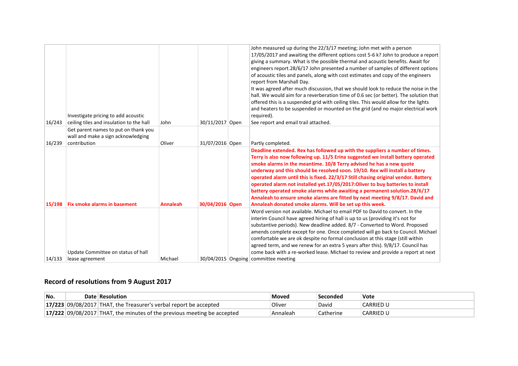| 16/243 | Investigate pricing to add acoustic<br>ceiling tiles and insulation to the hall            | John            | 30/11/2017 Open | John measured up during the 22/3/17 meeting; John met with a person<br>17/05/2017 and awaiting the different options cost 5-6 k? John to produce a report<br>giving a summary. What is the possible thermal and acoustic benefits. Await for<br>engineers report.28/6/17 John presented a number of samples of different options<br>of acoustic tiles and panels, along with cost estimates and copy of the engineers<br>report from Marshall Day.<br>It was agreed after much discussion, that we should look to reduce the noise in the<br>hall. We would aim for a reverberation time of 0.6 sec (or better). The solution that<br>offered this is a suspended grid with ceiling tiles. This would allow for the lights<br>and heaters to be suspended or mounted on the grid (and no major electrical work<br>required).<br>See report and email trail attached. |
|--------|--------------------------------------------------------------------------------------------|-----------------|-----------------|----------------------------------------------------------------------------------------------------------------------------------------------------------------------------------------------------------------------------------------------------------------------------------------------------------------------------------------------------------------------------------------------------------------------------------------------------------------------------------------------------------------------------------------------------------------------------------------------------------------------------------------------------------------------------------------------------------------------------------------------------------------------------------------------------------------------------------------------------------------------|
| 16/239 | Get parent names to put on thank you<br>wall and make a sign acknowledging<br>contribution | Oliver          | 31/07/2016 Open | Partly completed.                                                                                                                                                                                                                                                                                                                                                                                                                                                                                                                                                                                                                                                                                                                                                                                                                                                    |
| 15/198 | <b>Fix smoke alarms in basement</b>                                                        | <b>Annaleah</b> | 30/04/2016 Open | Deadline extended. Rex has followed up with the suppliers a number of times.<br>Terry is also now following up. 11/5 Erina suggested we install battery operated<br>smoke alarms in the meantime. 10/8 Terry advised he has a new quote<br>underway and this should be resolved soon. 19/10. Rex will install a battery<br>operated alarm until this is fixed. 22/3/17 Still chasing original vendor. Battery<br>operated alarm not installed yet.17/05/2017:Oliver to buy batteries to install<br>battery operated smoke alarms while awaiting a permanent solution.28/6/17<br>Annaleah to ensure smoke alarms are fitted by next meeting 9/8/17. David and<br>Annaleah donated smoke alarms. Will be set up this week.                                                                                                                                             |
|        |                                                                                            |                 |                 | Word version not available. Michael to email PDF to David to convert. In the<br>interim Council have agreed hiring of hall is up to us (providing it's not for<br>substantive periods). New deadline added. 8/7 - Converted to Word. Proposed<br>amends complete except for one. Once completed will go back to Council. Michael<br>comfortable we are ok despite no formal conclusion at this stage (still within<br>agreed term, and we renew for an extra 5 years after this). 9/8/17. Council has                                                                                                                                                                                                                                                                                                                                                                |
|        | Update Committee on status of hall                                                         |                 |                 | come back with a re-worked lease. Michael to review and provide a report at next                                                                                                                                                                                                                                                                                                                                                                                                                                                                                                                                                                                                                                                                                                                                                                                     |
| 14/133 | lease agreement                                                                            | Michael         |                 | 30/04/2015 Ongoing committee meeting                                                                                                                                                                                                                                                                                                                                                                                                                                                                                                                                                                                                                                                                                                                                                                                                                                 |

# **Record of resolutions from 9 August 2017**

| No. | Date Resolution                                                           | Moved    | Seconded  | Vote             |
|-----|---------------------------------------------------------------------------|----------|-----------|------------------|
|     | $17/223$ 09/08/2017 THAT, the Treasurer's verbal report be accepted       | Oliver   | David     | <b>CARRIED L</b> |
|     | $17/222$ 09/08/2017 THAT, the minutes of the previous meeting be accepted | Annaleah | Catherine | <b>CARRIED U</b> |